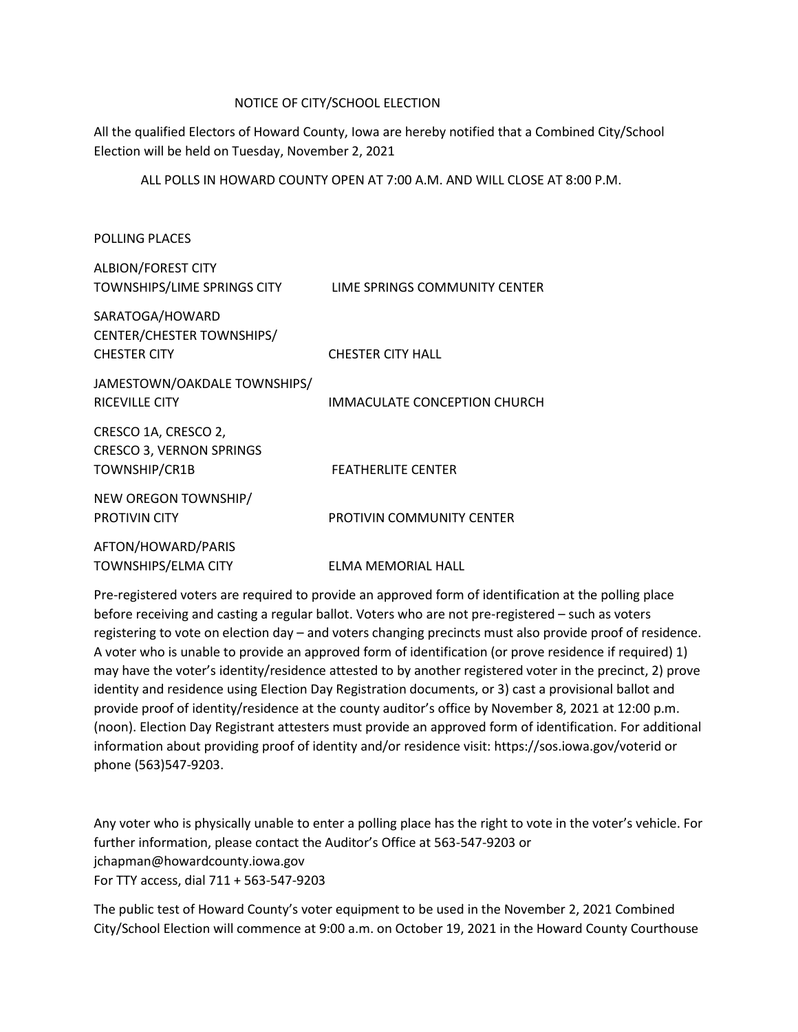# NOTICE OF CITY/SCHOOL ELECTION

All the qualified Electors of Howard County, Iowa are hereby notified that a Combined City/School Election will be held on Tuesday, November 2, 2021

ALL POLLS IN HOWARD COUNTY OPEN AT 7:00 A.M. AND WILL CLOSE AT 8:00 P.M.

| <b>POLLING PLACES</b>                                                    |                               |
|--------------------------------------------------------------------------|-------------------------------|
| <b>ALBION/FOREST CITY</b><br>TOWNSHIPS/LIME SPRINGS CITY                 | LIME SPRINGS COMMUNITY CENTER |
| SARATOGA/HOWARD<br>CENTER/CHESTER TOWNSHIPS/<br><b>CHESTER CITY</b>      | <b>CHESTER CITY HALL</b>      |
| JAMESTOWN/OAKDALE TOWNSHIPS/<br><b>RICEVILLE CITY</b>                    | IMMACULATE CONCEPTION CHURCH  |
| CRESCO 1A, CRESCO 2,<br><b>CRESCO 3, VERNON SPRINGS</b><br>TOWNSHIP/CR1B | <b>FEATHERLITE CENTER</b>     |
| NEW OREGON TOWNSHIP/<br><b>PROTIVIN CITY</b>                             | PROTIVIN COMMUNITY CENTER     |
| AFTON/HOWARD/PARIS<br>TOWNSHIPS/ELMA CITY                                | <b>ELMA MEMORIAL HALL</b>     |

Pre-registered voters are required to provide an approved form of identification at the polling place before receiving and casting a regular ballot. Voters who are not pre-registered – such as voters registering to vote on election day – and voters changing precincts must also provide proof of residence. A voter who is unable to provide an approved form of identification (or prove residence if required) 1) may have the voter's identity/residence attested to by another registered voter in the precinct, 2) prove identity and residence using Election Day Registration documents, or 3) cast a provisional ballot and provide proof of identity/residence at the county auditor's office by November 8, 2021 at 12:00 p.m. (noon). Election Day Registrant attesters must provide an approved form of identification. For additional information about providing proof of identity and/or residence visit: https://sos.iowa.gov/voterid or phone (563)547-9203.

Any voter who is physically unable to enter a polling place has the right to vote in the voter's vehicle. For further information, please contact the Auditor's Office at 563-547-9203 or jchapman@howardcounty.iowa.gov For TTY access, dial 711 + 563-547-9203

The public test of Howard County's voter equipment to be used in the November 2, 2021 Combined City/School Election will commence at 9:00 a.m. on October 19, 2021 in the Howard County Courthouse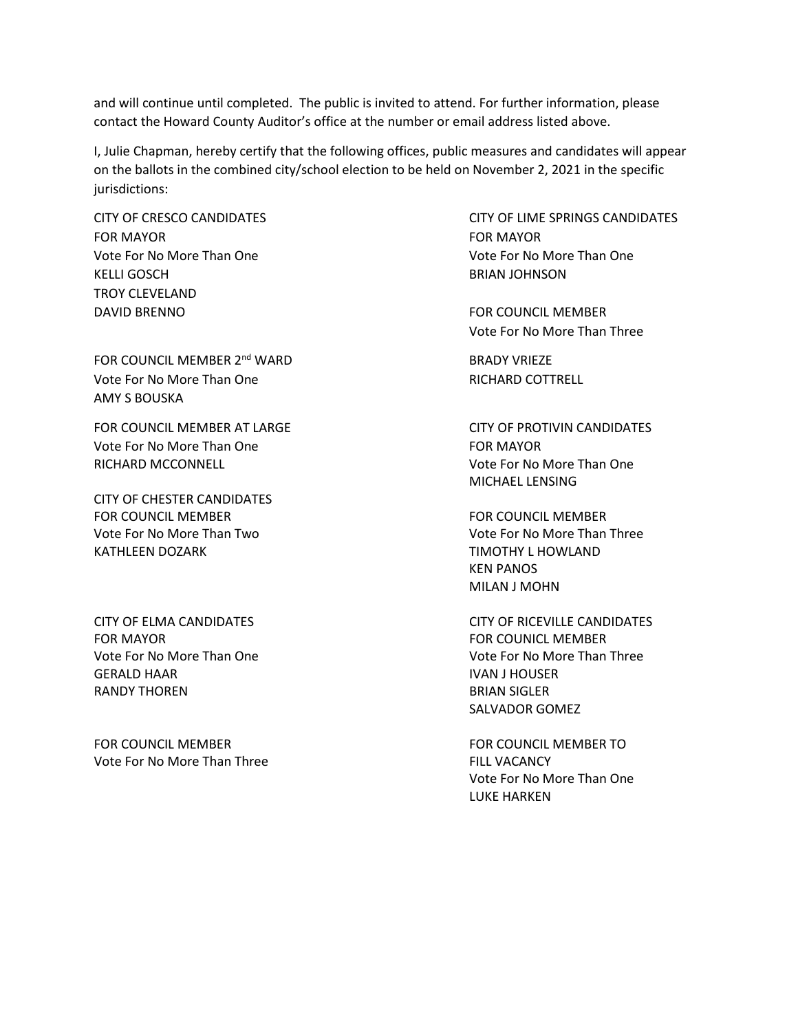and will continue until completed. The public is invited to attend. For further information, please contact the Howard County Auditor's office at the number or email address listed above.

I, Julie Chapman, hereby certify that the following offices, public measures and candidates will appear on the ballots in the combined city/school election to be held on November 2, 2021 in the specific jurisdictions:

FOR MAYOR FOR MAYOR Vote For No More Than One Vote For No More Than One KELLI GOSCH BRIAN JOHNSON TROY CLEVELAND DAVID BRENNO FOR COUNCIL MEMBER

FOR COUNCIL MEMBER 2<sup>nd</sup> WARD BRADY VRIEZE Vote For No More Than One **RICHARD COTTRELL** AMY S BOUSKA

Vote For No More Than One Formulation of the FOR MAYOR RICHARD MCCONNELL Vote For No More Than One

CITY OF CHESTER CANDIDATES FOR COUNCIL MEMBER FOR COUNCIL MEMBER Vote For No More Than Two Vote For No More Than Three KATHLEEN DOZARK TIMOTHY L HOWLAND

FOR MAYOR FOR COUNICL MEMBER GERALD HAAR IN A GERALD HAAR IN A GERALD HAAR IN A GERALD HAAR IN A GERALD HAAR IN A GERALD HAAR IN A GERALD H RANDY THOREN BRIAN SIGLER

FOR COUNCIL MEMBER FOR COUNCIL MEMBER TO Vote For No More Than Three FILL VACANCY

CITY OF CRESCO CANDIDATES CITY OF LIME SPRINGS CANDIDATES

Vote For No More Than Three

FOR COUNCIL MEMBER AT LARGE **CITY OF PROTIVIN CANDIDATES** MICHAEL LENSING

> KEN PANOS MILAN J MOHN

CITY OF ELMA CANDIDATES CITY OF RICEVILLE CANDIDATES Vote For No More Than One Vote For No More Than Three SALVADOR GOMEZ

> Vote For No More Than One LUKE HARKEN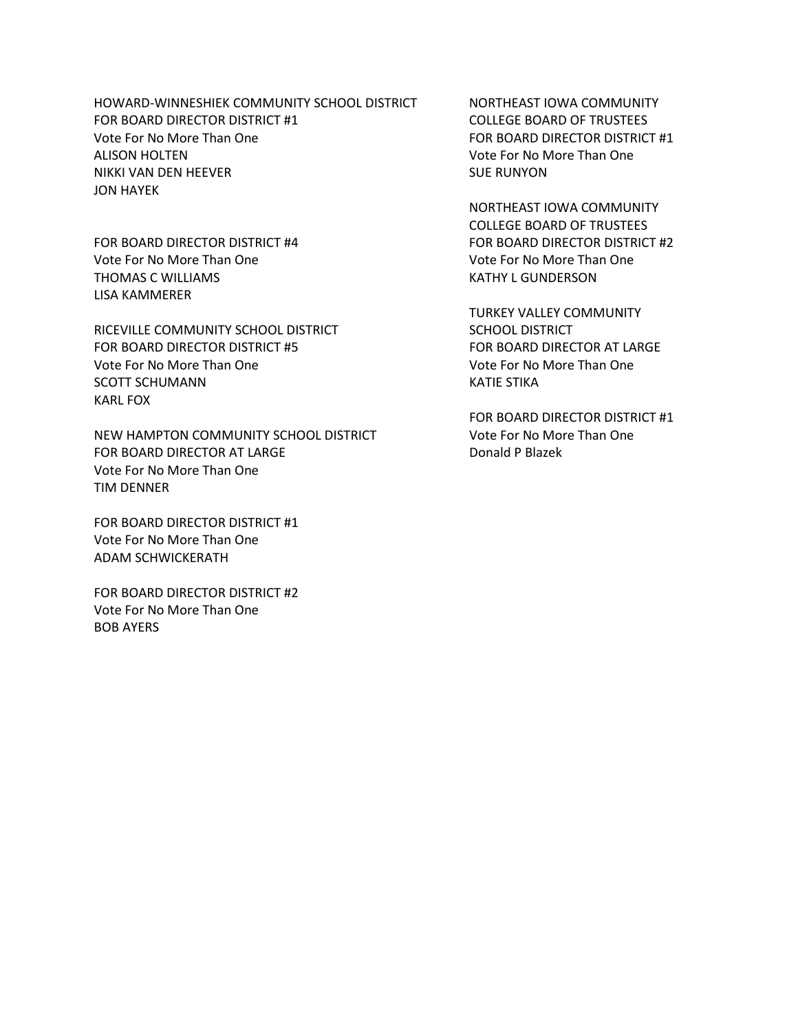HOWARD-WINNESHIEK COMMUNITY SCHOOL DISTRICT NORTHEAST IOWA COMMUNITY FOR BOARD DIRECTOR DISTRICT #1 COLLEGE BOARD OF TRUSTEES Vote For No More Than One FOR BOARD DIRECTOR DISTRICT #1 ALISON HOLTEN Vote For No More Than One NIKKI VAN DEN HEEVER SUE RUNYON JON HAYEK

Vote For No More Than One Vote For No More Than One THOMAS C WILLIAMS **EXECUTE A RESERVE THOMAS C WILLIAMS** LISA KAMMERER

RICEVILLE COMMUNITY SCHOOL DISTRICT SCHOOL DISTRICT FOR BOARD DIRECTOR DISTRICT #5 FOR BOARD DIRECTOR AT LARGE Vote For No More Than One Vote For No More Than One SCOTT SCHUMANN KATIE STIKA KARL FOX

NEW HAMPTON COMMUNITY SCHOOL DISTRICT Vote For No More Than One FOR BOARD DIRECTOR AT LARGE DONALD DONALD P Blazek Vote For No More Than One TIM DENNER

FOR BOARD DIRECTOR DISTRICT #1 Vote For No More Than One ADAM SCHWICKERATH

FOR BOARD DIRECTOR DISTRICT #2 Vote For No More Than One BOB AYERS

NORTHEAST IOWA COMMUNITY COLLEGE BOARD OF TRUSTEES FOR BOARD DIRECTOR DISTRICT #4 FOR BOARD DIRECTOR DISTRICT #2

TURKEY VALLEY COMMUNITY

FOR BOARD DIRECTOR DISTRICT #1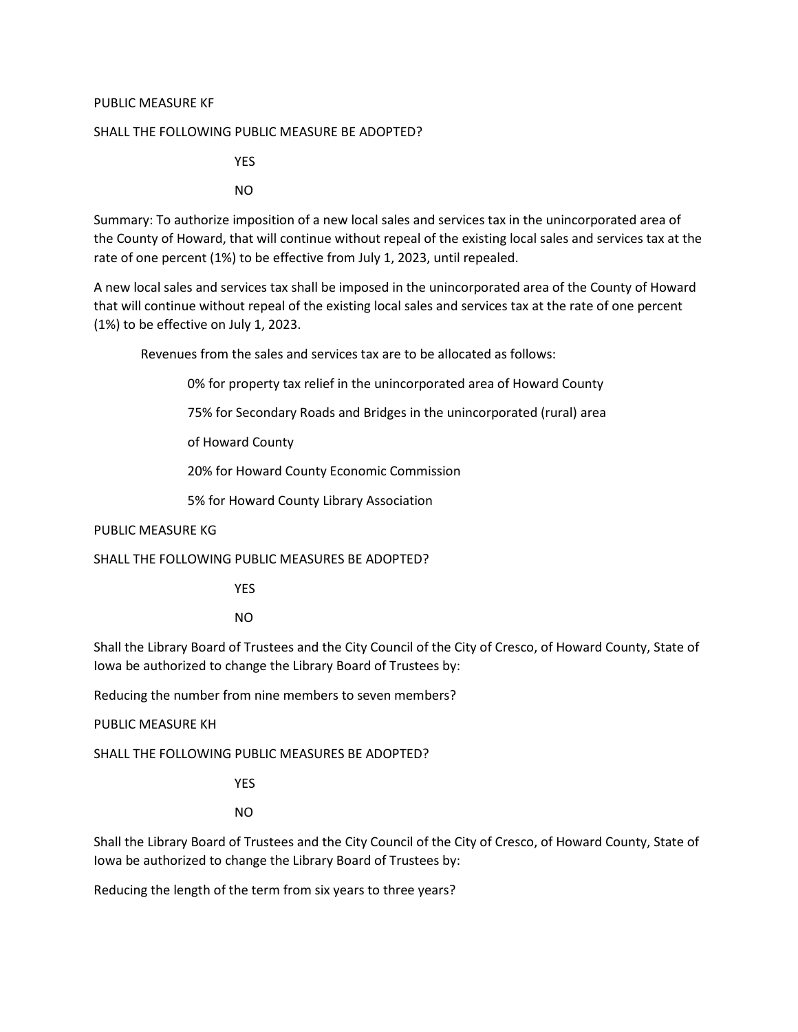### PUBLIC MEASURE KF

#### SHALL THE FOLLOWING PUBLIC MEASURE BE ADOPTED?

YES

NO

Summary: To authorize imposition of a new local sales and services tax in the unincorporated area of the County of Howard, that will continue without repeal of the existing local sales and services tax at the rate of one percent (1%) to be effective from July 1, 2023, until repealed.

A new local sales and services tax shall be imposed in the unincorporated area of the County of Howard that will continue without repeal of the existing local sales and services tax at the rate of one percent (1%) to be effective on July 1, 2023.

Revenues from the sales and services tax are to be allocated as follows:

0% for property tax relief in the unincorporated area of Howard County

75% for Secondary Roads and Bridges in the unincorporated (rural) area

of Howard County

20% for Howard County Economic Commission

5% for Howard County Library Association

### PUBLIC MEASURE KG

SHALL THE FOLLOWING PUBLIC MEASURES BE ADOPTED?

YES

NO

Shall the Library Board of Trustees and the City Council of the City of Cresco, of Howard County, State of Iowa be authorized to change the Library Board of Trustees by:

Reducing the number from nine members to seven members?

PUBLIC MEASURE KH

SHALL THE FOLLOWING PUBLIC MEASURES BE ADOPTED?

YES

NO

Shall the Library Board of Trustees and the City Council of the City of Cresco, of Howard County, State of Iowa be authorized to change the Library Board of Trustees by:

Reducing the length of the term from six years to three years?